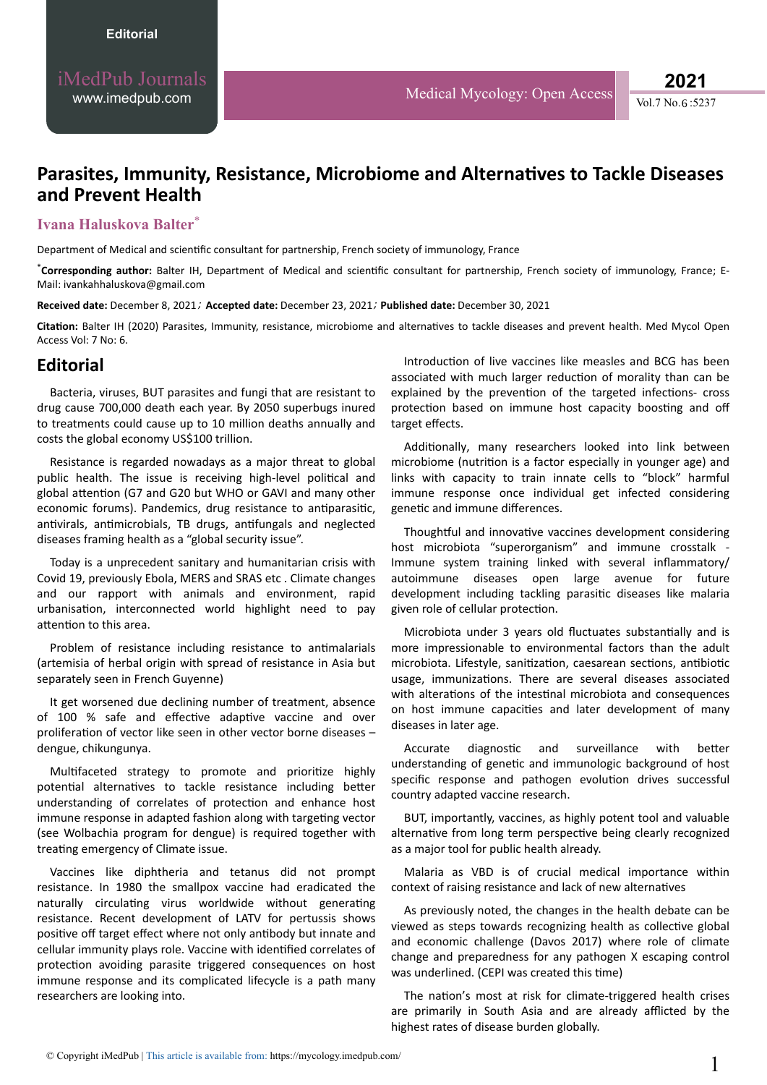# **Parasites, Immunity, Resistance, Microbiome and Alternatives to Tackle Diseases and Prevent Health**

#### **Ivana Haluskova Balter**\*

Department of Medical and scientific consultant for partnership, French society of immunology, France

\*Corresponding author: Balter IH, Department of Medical and scientific consultant for partnership, French society of immunology, France; E-Mail: ivankahhaluskova@gmail.com

**Received date:** December 8, 2021 *;* **Accepted date:** December 23, 2021*;* **Published date:** December 30, 2021

Citation: Balter IH (2020) Parasites, Immunity, resistance, microbiome and alternatives to tackle diseases and prevent health. Med Mycol Open Access Vol: 7 No: 6.

### **Editorial**

Bacteria, viruses, BUT parasites and fungi that are resistant to drug cause 700,000 death each year. By 2050 superbugs inured to treatments could cause up to 10 million deaths annually and costs the global economy US\$100 trillion.

Resistance is regarded nowadays as a major threat to global public health. The issue is receiving high-level political and global attention (G7 and G20 but WHO or GAVI and many other economic forums). Pandemics, drug resistance to antiparasitic, antivirals, antimicrobials, TB drugs, antifungals and neglected diseases framing health as a "global security issue".

Today is a unprecedent sanitary and humanitarian crisis with Covid 19, previously Ebola, MERS and SRAS etc . Climate changes and our rapport with animals and environment, rapid urbanisation, interconnected world highlight need to pay attention to this area.

Problem of resistance including resistance to antimalarials (artemisia of herbal origin with spread of resistance in Asia but separately seen in French Guyenne)

It get worsened due declining number of treatment, absence of 100 % safe and effective adaptive vaccine and over proliferation of vector like seen in other vector borne diseases – dengue, chikungunya.

Multifaceted strategy to promote and prioritize highly potential alternatives to tackle resistance including better understanding of correlates of protection and enhance host immune response in adapted fashion along with targeting vector (see Wolbachia program for dengue) is required together with treating emergency of Climate issue.

Vaccines like diphtheria and tetanus did not prompt resistance. In 1980 the smallpox vaccine had eradicated the naturally circulating virus worldwide without generating resistance. Recent development of LATV for pertussis shows positive off target effect where not only antibody but innate and cellular immunity plays role. Vaccine with identified correlates of protection avoiding parasite triggered consequences on host immune response and its complicated lifecycle is a path many researchers are looking into.

Introduction of live vaccines like measles and BCG has been associated with much larger reduction of morality than can be explained by the prevention of the targeted infections- cross protection based on immune host capacity boosting and off target effects.

Additionally, many researchers looked into link between microbiome (nutrition is a factor especially in younger age) and links with capacity to train innate cells to "block" harmful immune response once individual get infected considering genetic and immune differences.

Thoughtful and innovative vaccines development considering host microbiota "superorganism" and immune crosstalk - Immune system training linked with several inflammatory/ autoimmune diseases open large avenue for future development including tackling parasitic diseases like malaria given role of cellular protection.

Microbiota under 3 years old fluctuates substantially and is more impressionable to environmental factors than the adult microbiota. Lifestyle, sanitization, caesarean sections, antibiotic usage, immunizations. There are several diseases associated with alterations of the intestinal microbiota and consequences on host immune capacities and later development of many diseases in later age.

Accurate diagnostic and surveillance with better understanding of genetic and immunologic background of host specific response and pathogen evolution drives successful country adapted vaccine research.

BUT, importantly, vaccines, as highly potent tool and valuable alternative from long term perspective being clearly recognized as a major tool for public health already.

Malaria as VBD is of crucial medical importance within context of raising resistance and lack of new alternatives

As previously noted, the changes in the health debate can be viewed as steps towards recognizing health as collective global and economic challenge (Davos 2017) where role of climate change and preparedness for any pathogen X escaping control was underlined. (CEPI was created this time)

The nation's most at risk for climate-triggered health crises are primarily in South Asia and are already afflicted by the highest rates of disease burden globally.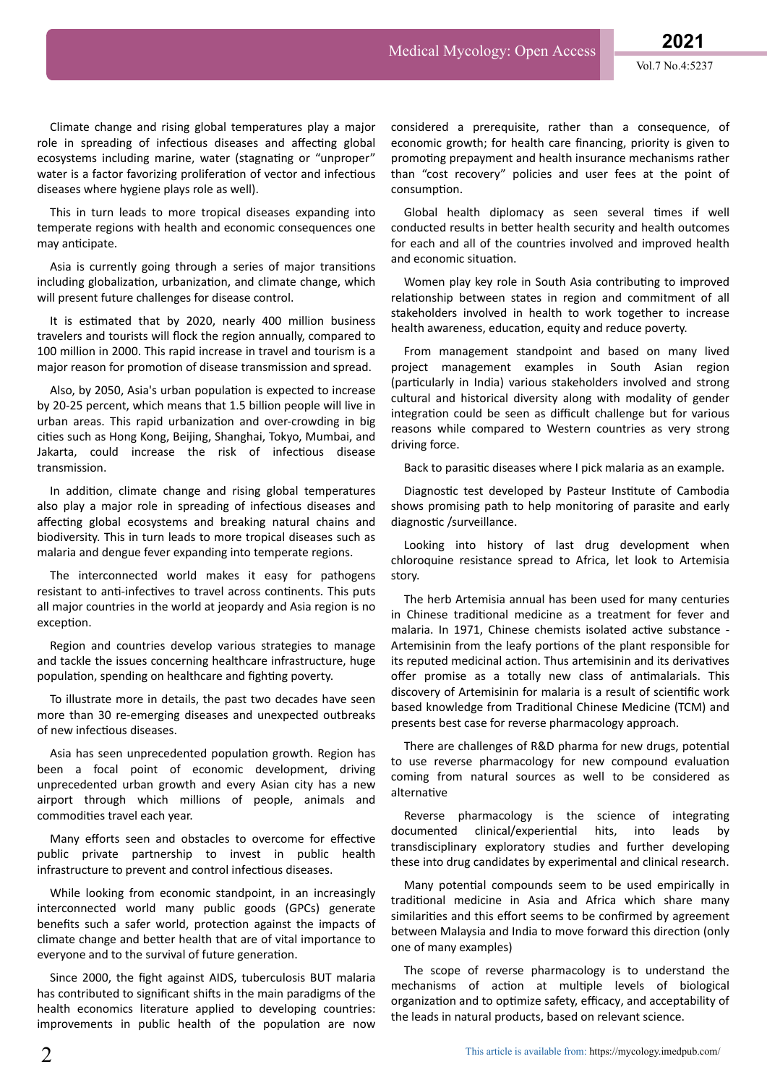Climate change and rising global temperatures play a major role in spreading of infectious diseases and affecting global ecosystems including marine, water (stagnating or "unproper" water is a factor favorizing proliferation of vector and infectious diseases where hygiene plays role as well).

This in turn leads to more tropical diseases expanding into temperate regions with health and economic consequences one may anticipate.

Asia is currently going through a series of major transitions including globalization, urbanization, and climate change, which will present future challenges for disease control.

It is estimated that by 2020, nearly 400 million business travelers and tourists will flock the region annually, compared to 100 million in 2000. This rapid increase in travel and tourism is a major reason for promotion of disease transmission and spread.

Also, by 2050, Asia's urban population is expected to increase by 20-25 percent, which means that 1.5 billion people will live in urban areas. This rapid urbanization and over-crowding in big cities such as Hong Kong, Beijing, Shanghai, Tokyo, Mumbai, and Jakarta, could increase the risk of infectious disease transmission.

In addition, climate change and rising global temperatures also play a major role in spreading of infectious diseases and affecting global ecosystems and breaking natural chains and biodiversity. This in turn leads to more tropical diseases such as malaria and dengue fever expanding into temperate regions.

The interconnected world makes it easy for pathogens resistant to anti-infectives to travel across continents. This puts all major countries in the world at jeopardy and Asia region is no exception.

Region and countries develop various strategies to manage and tackle the issues concerning healthcare infrastructure, huge population, spending on healthcare and fighting poverty.

To illustrate more in details, the past two decades have seen more than 30 re-emerging diseases and unexpected outbreaks of new infectious diseases.

Asia has seen unprecedented population growth. Region has been a focal point of economic development, driving unprecedented urban growth and every Asian city has a new airport through which millions of people, animals and commodities travel each year.

Many efforts seen and obstacles to overcome for effective public private partnership to invest in public health infrastructure to prevent and control infectious diseases.

While looking from economic standpoint, in an increasingly interconnected world many public goods (GPCs) generate benefits such a safer world, protection against the impacts of climate change and better health that are of vital importance to everyone and to the survival of future generation.

Since 2000, the fight against AIDS, tuberculosis BUT malaria has contributed to significant shifts in the main paradigms of the health economics literature applied to developing countries: improvements in public health of the population are now considered a prerequisite, rather than a consequence, of economic growth; for health care financing, priority is given to promoting prepayment and health insurance mechanisms rather than "cost recovery" policies and user fees at the point of consumption.

Global health diplomacy as seen several times if well conducted results in better health security and health outcomes for each and all of the countries involved and improved health and economic situation.

Women play key role in South Asia contributing to improved relationship between states in region and commitment of all stakeholders involved in health to work together to increase health awareness, education, equity and reduce poverty.

From management standpoint and based on many lived project management examples in South Asian region (particularly in India) various stakeholders involved and strong cultural and historical diversity along with modality of gender integration could be seen as difficult challenge but for various reasons while compared to Western countries as very strong driving force.

Back to parasitic diseases where I pick malaria as an example.

Diagnostic test developed by Pasteur Institute of Cambodia shows promising path to help monitoring of parasite and early diagnostic /surveillance.

Looking into history of last drug development when chloroquine resistance spread to Africa, let look to Artemisia story.

The herb Artemisia annual has been used for many centuries in Chinese traditional medicine as a treatment for fever and malaria. In 1971, Chinese chemists isolated active substance -Artemisinin from the leafy portions of the plant responsible for its reputed medicinal action. Thus artemisinin and its derivatives offer promise as a totally new class of antimalarials. This discovery of Artemisinin for malaria is a result of scientific work based knowledge from Traditional Chinese Medicine (TCM) and presents best case for reverse pharmacology approach.

There are challenges of R&D pharma for new drugs, potential to use reverse pharmacology for new compound evaluation coming from natural sources as well to be considered as alternative

Reverse pharmacology is the science of integrating documented clinical/experiential hits, into leads by transdisciplinary exploratory studies and further developing these into drug candidates by experimental and clinical research.

Many potential compounds seem to be used empirically in traditional medicine in Asia and Africa which share many similarities and this effort seems to be confirmed by agreement between Malaysia and India to move forward this direction (only one of many examples)

The scope of reverse pharmacology is to understand the mechanisms of action at multiple levels of biological organization and to optimize safety, efficacy, and acceptability of the leads in natural products, based on relevant science.